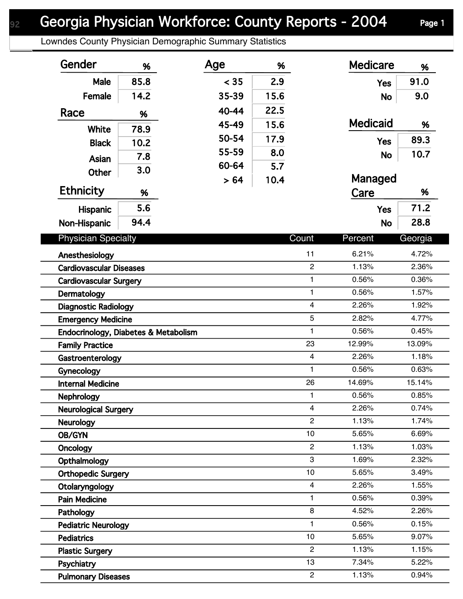## Georgia Physician Workforce: County Reports - 2004 Page 1

Lowndes County Physician Demographic Summary Statistics

| Gender                               | %    | Age   | %    |                         | <b>Medicare</b> | %               |
|--------------------------------------|------|-------|------|-------------------------|-----------------|-----------------|
| <b>Male</b>                          | 85.8 | < 35  | 2.9  |                         | <b>Yes</b>      | 91.0            |
| Female                               | 14.2 | 35-39 | 15.6 |                         | <b>No</b>       | 9.0             |
| Race                                 | %    | 40-44 | 22.5 |                         |                 |                 |
|                                      |      | 45-49 | 15.6 |                         | <b>Medicaid</b> | %               |
| White                                | 78.9 | 50-54 | 17.9 |                         |                 | 89.3            |
| <b>Black</b>                         | 10.2 | 55-59 | 8.0  |                         | <b>Yes</b>      |                 |
| Asian                                | 7.8  | 60-64 | 5.7  |                         | <b>No</b>       | 10.7            |
| <b>Other</b>                         | 3.0  | > 64  | 10.4 |                         | Managed         |                 |
| Ethnicity                            | %    |       |      |                         | Care            | %               |
| Hispanic                             | 5.6  |       |      |                         | <b>Yes</b>      | 71.2            |
| Non-Hispanic                         | 94.4 |       |      |                         | <b>No</b>       | 28.8            |
|                                      |      |       |      | Count                   |                 |                 |
| <b>Physician Specialty</b>           |      |       |      |                         | Percent         | Georgia         |
| Anesthesiology                       |      |       |      | 11                      | 6.21%           | 4.72%           |
| <b>Cardiovascular Diseases</b>       |      |       |      | $\overline{c}$          | 1.13%           | 2.36%           |
| <b>Cardiovascular Surgery</b>        |      |       |      | 1                       | 0.56%           | 0.36%           |
| Dermatology                          |      |       |      | $\mathbf{1}$            | 0.56%           | 1.57%           |
| <b>Diagnostic Radiology</b>          |      |       |      | $\overline{\mathbf{4}}$ | 2.26%           | 1.92%           |
| <b>Emergency Medicine</b>            |      |       |      | 5                       | 2.82%           | 4.77%           |
| Endocrinology, Diabetes & Metabolism |      |       |      | $\mathbf{1}$            | 0.56%           | 0.45%           |
| <b>Family Practice</b>               |      |       |      | 23                      | 12.99%          | 13.09%          |
| Gastroenterology                     |      |       |      | $\overline{4}$          | 2.26%           | 1.18%           |
| Gynecology                           |      |       |      | $\mathbf{1}$<br>26      | 0.56%           | 0.63%           |
| <b>Internal Medicine</b>             |      |       |      | $\mathbf{1}$            | 14.69%          | 15.14%<br>0.85% |
| Nephrology                           |      |       |      | 4                       | 0.56%<br>2.26%  | 0.74%           |
| <b>Neurological Surgery</b>          |      |       |      | $\overline{2}$          | 1.13%           | 1.74%           |
| <b>Neurology</b>                     |      |       |      | 10                      | 5.65%           | 6.69%           |
| OB/GYN                               |      |       |      | $\mathbf{2}$            | 1.13%           | 1.03%           |
| <b>Oncology</b><br>Opthalmology      |      |       |      | 3                       | 1.69%           | 2.32%           |
| <b>Orthopedic Surgery</b>            |      |       |      | 10                      | 5.65%           | 3.49%           |
| Otolaryngology                       |      |       |      | 4                       | 2.26%           | 1.55%           |
| <b>Pain Medicine</b>                 |      |       |      | 1                       | 0.56%           | 0.39%           |
| Pathology                            |      |       |      | 8                       | 4.52%           | 2.26%           |
| <b>Pediatric Neurology</b>           |      |       |      | $\mathbf{1}$            | 0.56%           | 0.15%           |
| <b>Pediatrics</b>                    |      |       |      | 10                      | 5.65%           | 9.07%           |
| <b>Plastic Surgery</b>               |      |       |      | $\overline{2}$          | 1.13%           | 1.15%           |
| Psychiatry                           |      |       |      | 13                      | 7.34%           | 5.22%           |
| <b>Pulmonary Diseases</b>            |      |       |      | $\overline{c}$          | 1.13%           | 0.94%           |